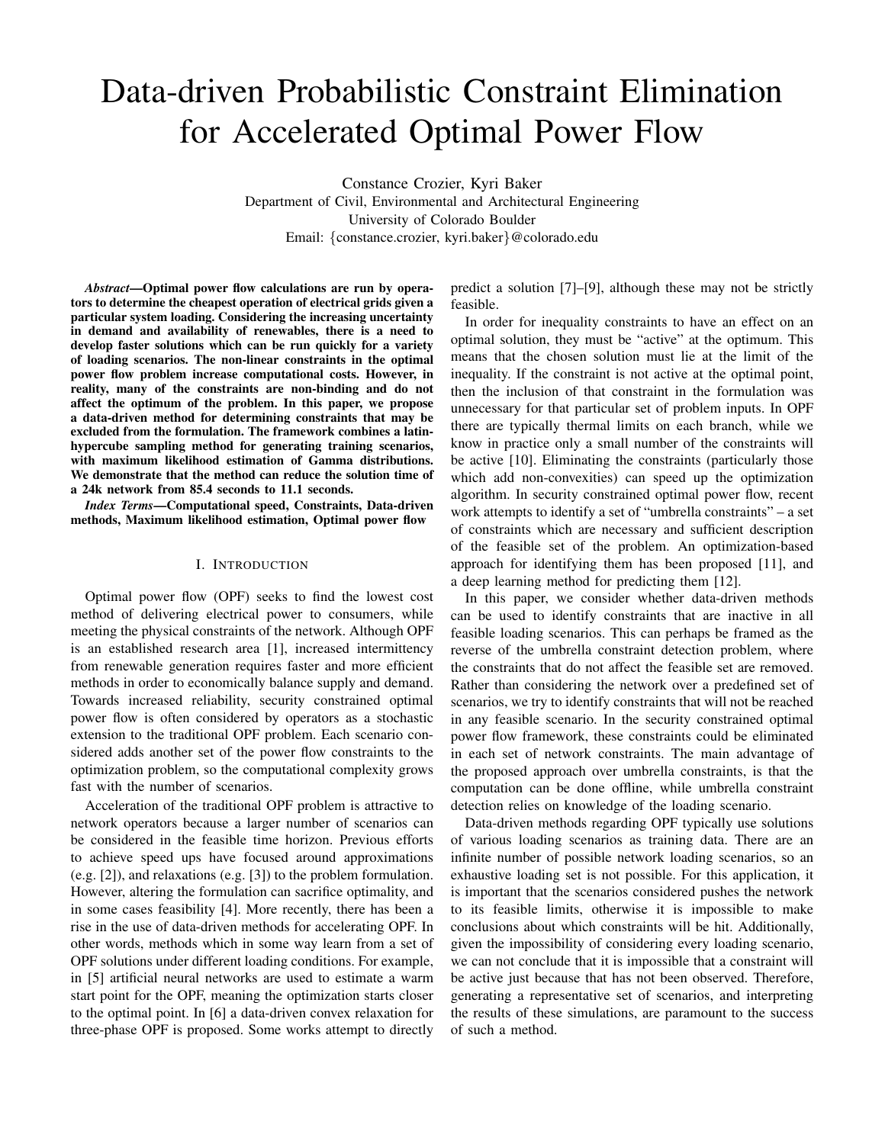# Data-driven Probabilistic Constraint Elimination for Accelerated Optimal Power Flow

Constance Crozier, Kyri Baker Department of Civil, Environmental and Architectural Engineering University of Colorado Boulder Email: {constance.crozier, kyri.baker}@colorado.edu

*Abstract*—Optimal power flow calculations are run by operators to determine the cheapest operation of electrical grids given a particular system loading. Considering the increasing uncertainty in demand and availability of renewables, there is a need to develop faster solutions which can be run quickly for a variety of loading scenarios. The non-linear constraints in the optimal power flow problem increase computational costs. However, in reality, many of the constraints are non-binding and do not affect the optimum of the problem. In this paper, we propose a data-driven method for determining constraints that may be excluded from the formulation. The framework combines a latinhypercube sampling method for generating training scenarios, with maximum likelihood estimation of Gamma distributions. We demonstrate that the method can reduce the solution time of a 24k network from 85.4 seconds to 11.1 seconds.

*Index Terms*—Computational speed, Constraints, Data-driven methods, Maximum likelihood estimation, Optimal power flow

# I. INTRODUCTION

Optimal power flow (OPF) seeks to find the lowest cost method of delivering electrical power to consumers, while meeting the physical constraints of the network. Although OPF is an established research area [1], increased intermittency from renewable generation requires faster and more efficient methods in order to economically balance supply and demand. Towards increased reliability, security constrained optimal power flow is often considered by operators as a stochastic extension to the traditional OPF problem. Each scenario considered adds another set of the power flow constraints to the optimization problem, so the computational complexity grows fast with the number of scenarios.

Acceleration of the traditional OPF problem is attractive to network operators because a larger number of scenarios can be considered in the feasible time horizon. Previous efforts to achieve speed ups have focused around approximations (e.g. [2]), and relaxations (e.g. [3]) to the problem formulation. However, altering the formulation can sacrifice optimality, and in some cases feasibility [4]. More recently, there has been a rise in the use of data-driven methods for accelerating OPF. In other words, methods which in some way learn from a set of OPF solutions under different loading conditions. For example, in [5] artificial neural networks are used to estimate a warm start point for the OPF, meaning the optimization starts closer to the optimal point. In [6] a data-driven convex relaxation for three-phase OPF is proposed. Some works attempt to directly

predict a solution [7]–[9], although these may not be strictly feasible.

In order for inequality constraints to have an effect on an optimal solution, they must be "active" at the optimum. This means that the chosen solution must lie at the limit of the inequality. If the constraint is not active at the optimal point, then the inclusion of that constraint in the formulation was unnecessary for that particular set of problem inputs. In OPF there are typically thermal limits on each branch, while we know in practice only a small number of the constraints will be active [10]. Eliminating the constraints (particularly those which add non-convexities) can speed up the optimization algorithm. In security constrained optimal power flow, recent work attempts to identify a set of "umbrella constraints" – a set of constraints which are necessary and sufficient description of the feasible set of the problem. An optimization-based approach for identifying them has been proposed [11], and a deep learning method for predicting them [12].

In this paper, we consider whether data-driven methods can be used to identify constraints that are inactive in all feasible loading scenarios. This can perhaps be framed as the reverse of the umbrella constraint detection problem, where the constraints that do not affect the feasible set are removed. Rather than considering the network over a predefined set of scenarios, we try to identify constraints that will not be reached in any feasible scenario. In the security constrained optimal power flow framework, these constraints could be eliminated in each set of network constraints. The main advantage of the proposed approach over umbrella constraints, is that the computation can be done offline, while umbrella constraint detection relies on knowledge of the loading scenario.

Data-driven methods regarding OPF typically use solutions of various loading scenarios as training data. There are an infinite number of possible network loading scenarios, so an exhaustive loading set is not possible. For this application, it is important that the scenarios considered pushes the network to its feasible limits, otherwise it is impossible to make conclusions about which constraints will be hit. Additionally, given the impossibility of considering every loading scenario, we can not conclude that it is impossible that a constraint will be active just because that has not been observed. Therefore, generating a representative set of scenarios, and interpreting the results of these simulations, are paramount to the success of such a method.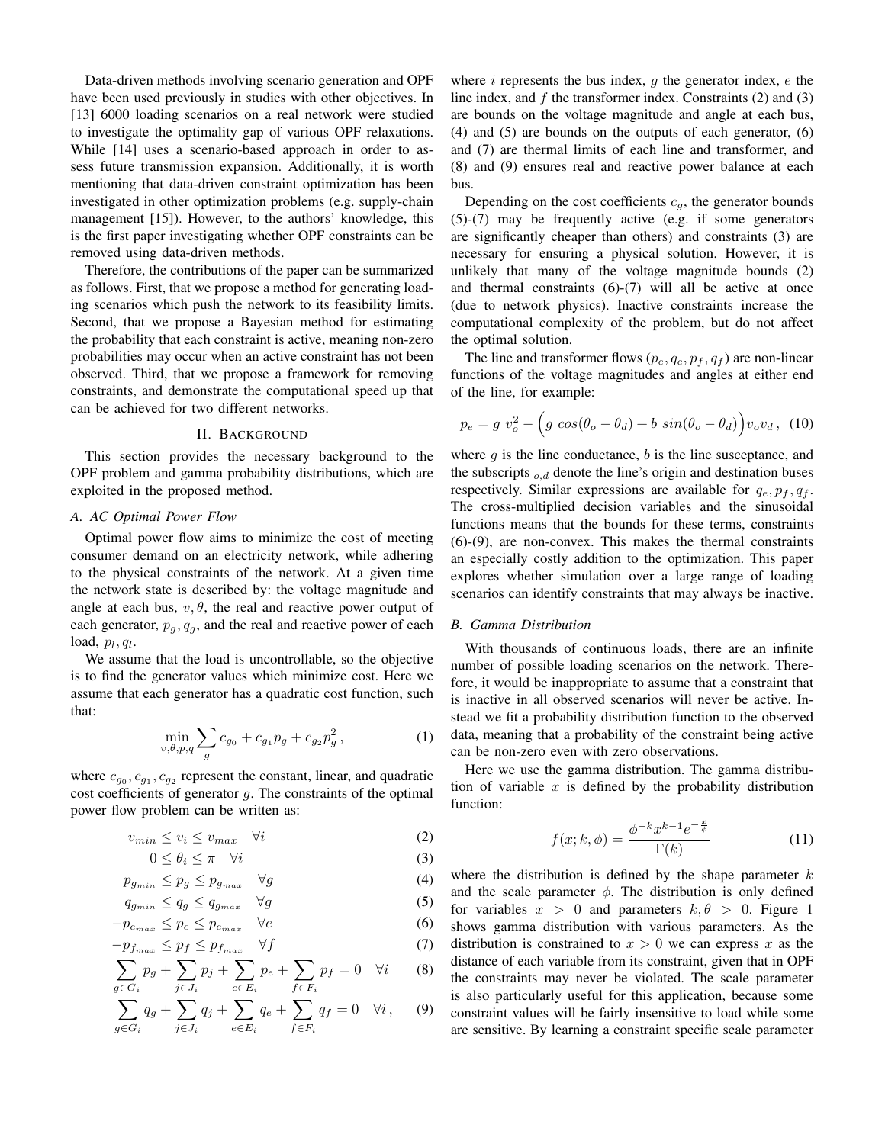Data-driven methods involving scenario generation and OPF have been used previously in studies with other objectives. In [13] 6000 loading scenarios on a real network were studied to investigate the optimality gap of various OPF relaxations. While [14] uses a scenario-based approach in order to assess future transmission expansion. Additionally, it is worth mentioning that data-driven constraint optimization has been investigated in other optimization problems (e.g. supply-chain management [15]). However, to the authors' knowledge, this is the first paper investigating whether OPF constraints can be removed using data-driven methods.

Therefore, the contributions of the paper can be summarized as follows. First, that we propose a method for generating loading scenarios which push the network to its feasibility limits. Second, that we propose a Bayesian method for estimating the probability that each constraint is active, meaning non-zero probabilities may occur when an active constraint has not been observed. Third, that we propose a framework for removing constraints, and demonstrate the computational speed up that can be achieved for two different networks.

## II. BACKGROUND

This section provides the necessary background to the OPF problem and gamma probability distributions, which are exploited in the proposed method.

# *A. AC Optimal Power Flow*

Optimal power flow aims to minimize the cost of meeting consumer demand on an electricity network, while adhering to the physical constraints of the network. At a given time the network state is described by: the voltage magnitude and angle at each bus,  $v, \theta$ , the real and reactive power output of each generator,  $p_q, q_q$ , and the real and reactive power of each load,  $p_l, q_l$ .

We assume that the load is uncontrollable, so the objective is to find the generator values which minimize cost. Here we assume that each generator has a quadratic cost function, such that:

$$
\min_{v,\theta,p,q} \sum_{g} c_{g_0} + c_{g_1} p_g + c_{g_2} p_g^2, \tag{1}
$$

where  $c_{g_0}, c_{g_1}, c_{g_2}$  represent the constant, linear, and quadratic cost coefficients of generator  $g$ . The constraints of the optimal power flow problem can be written as:

$$
v_{min} \le v_i \le v_{max} \quad \forall i \tag{2}
$$

$$
0 \le \theta_i \le \pi \quad \forall i \tag{3}
$$

$$
p_{g_{min}} \le p_g \le p_{g_{max}} \quad \forall g \tag{4}
$$

$$
q_{g_{min}} \le q_g \le q_{g_{max}} \quad \forall g \tag{5}
$$

$$
-p_{e_{max}} \le p_e \le p_{e_{max}} \quad \forall e \tag{6}
$$

$$
-p_{f_{max}} \le p_f \le p_{f_{max}} \quad \forall f \tag{7}
$$

$$
\sum_{g \in G_i} p_g + \sum_{j \in J_i} p_j + \sum_{e \in E_i} p_e + \sum_{f \in F_i} p_f = 0 \quad \forall i \tag{8}
$$

$$
\sum_{g \in G_i} q_g + \sum_{j \in J_i} q_j + \sum_{e \in E_i} q_e + \sum_{f \in F_i} q_f = 0 \quad \forall i, \quad (9)
$$

where  $i$  represents the bus index,  $q$  the generator index,  $e$  the line index, and  $f$  the transformer index. Constraints (2) and (3) are bounds on the voltage magnitude and angle at each bus, (4) and (5) are bounds on the outputs of each generator, (6) and (7) are thermal limits of each line and transformer, and (8) and (9) ensures real and reactive power balance at each bus.

Depending on the cost coefficients  $c<sub>g</sub>$ , the generator bounds (5)-(7) may be frequently active (e.g. if some generators are significantly cheaper than others) and constraints (3) are necessary for ensuring a physical solution. However, it is unlikely that many of the voltage magnitude bounds (2) and thermal constraints (6)-(7) will all be active at once (due to network physics). Inactive constraints increase the computational complexity of the problem, but do not affect the optimal solution.

The line and transformer flows  $(p_e, q_e, p_f, q_f)$  are non-linear functions of the voltage magnitudes and angles at either end of the line, for example:

$$
p_e = g v_o^2 - \left(g \cos(\theta_o - \theta_d) + b \sin(\theta_o - \theta_d)\right) v_o v_d, \tag{10}
$$

where  $q$  is the line conductance,  $b$  is the line susceptance, and the subscripts  $_{o,d}$  denote the line's origin and destination buses respectively. Similar expressions are available for  $q_e, p_f, q_f$ . The cross-multiplied decision variables and the sinusoidal functions means that the bounds for these terms, constraints (6)-(9), are non-convex. This makes the thermal constraints an especially costly addition to the optimization. This paper explores whether simulation over a large range of loading scenarios can identify constraints that may always be inactive.

## *B. Gamma Distribution*

With thousands of continuous loads, there are an infinite number of possible loading scenarios on the network. Therefore, it would be inappropriate to assume that a constraint that is inactive in all observed scenarios will never be active. Instead we fit a probability distribution function to the observed data, meaning that a probability of the constraint being active can be non-zero even with zero observations.

Here we use the gamma distribution. The gamma distribution of variable  $x$  is defined by the probability distribution function:

$$
f(x;k,\phi) = \frac{\phi^{-k} x^{k-1} e^{-\frac{x}{\phi}}}{\Gamma(k)}\tag{11}
$$

where the distribution is defined by the shape parameter  $k$ and the scale parameter  $\phi$ . The distribution is only defined for variables  $x > 0$  and parameters  $k, \theta > 0$ . Figure 1 shows gamma distribution with various parameters. As the distribution is constrained to  $x > 0$  we can express x as the distance of each variable from its constraint, given that in OPF the constraints may never be violated. The scale parameter is also particularly useful for this application, because some constraint values will be fairly insensitive to load while some are sensitive. By learning a constraint specific scale parameter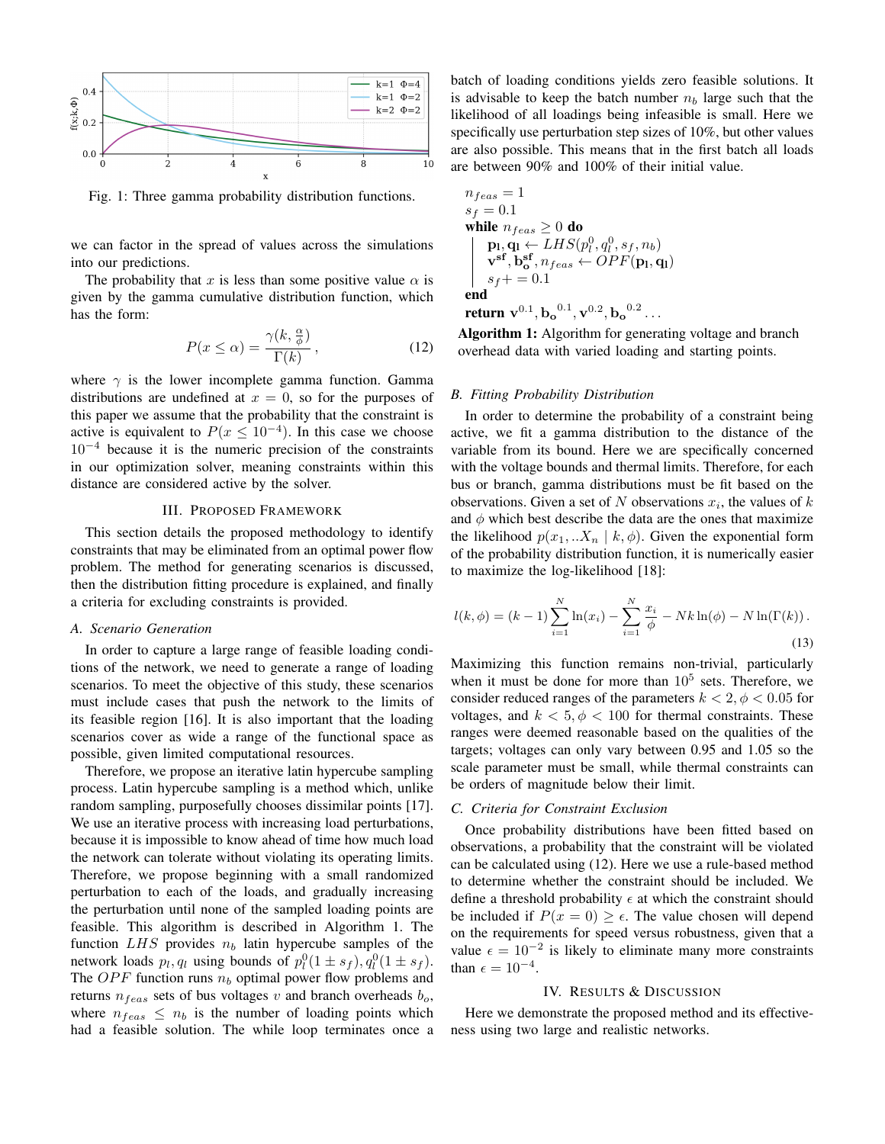

Fig. 1: Three gamma probability distribution functions.

we can factor in the spread of values across the simulations into our predictions.

The probability that x is less than some positive value  $\alpha$  is given by the gamma cumulative distribution function, which has the form:

$$
P(x \le \alpha) = \frac{\gamma(k, \frac{\alpha}{\phi})}{\Gamma(k)},
$$
\n(12)

where  $\gamma$  is the lower incomplete gamma function. Gamma distributions are undefined at  $x = 0$ , so for the purposes of this paper we assume that the probability that the constraint is active is equivalent to  $P(x \leq 10^{-4})$ . In this case we choose  $10^{-4}$  because it is the numeric precision of the constraints in our optimization solver, meaning constraints within this distance are considered active by the solver.

# III. PROPOSED FRAMEWORK

This section details the proposed methodology to identify constraints that may be eliminated from an optimal power flow problem. The method for generating scenarios is discussed, then the distribution fitting procedure is explained, and finally a criteria for excluding constraints is provided.

## *A. Scenario Generation*

In order to capture a large range of feasible loading conditions of the network, we need to generate a range of loading scenarios. To meet the objective of this study, these scenarios must include cases that push the network to the limits of its feasible region [16]. It is also important that the loading scenarios cover as wide a range of the functional space as possible, given limited computational resources.

Therefore, we propose an iterative latin hypercube sampling process. Latin hypercube sampling is a method which, unlike random sampling, purposefully chooses dissimilar points [17]. We use an iterative process with increasing load perturbations, because it is impossible to know ahead of time how much load the network can tolerate without violating its operating limits. Therefore, we propose beginning with a small randomized perturbation to each of the loads, and gradually increasing the perturbation until none of the sampled loading points are feasible. This algorithm is described in Algorithm 1. The function  $LHS$  provides  $n_b$  latin hypercube samples of the network loads  $p_l, q_l$  using bounds of  $p_l^0(1 \pm s_f), q_l^0(1 \pm s_f)$ . The OPF function runs  $n_b$  optimal power flow problems and returns  $n_{feas}$  sets of bus voltages v and branch overheads  $b_{o}$ , where  $n_{feas} \leq n_b$  is the number of loading points which had a feasible solution. The while loop terminates once a batch of loading conditions yields zero feasible solutions. It is advisable to keep the batch number  $n_b$  large such that the likelihood of all loadings being infeasible is small. Here we specifically use perturbation step sizes of 10%, but other values are also possible. This means that in the first batch all loads are between 90% and 100% of their initial value.

$$
\begin{array}{l} n_{feas} = 1 \\ s_f = 0.1 \\ \text{while } n_{feas} \geq 0 \text{ do} \\ \hspace{5mm} \begin{array}{l} \mathbf{p}_1 \leftarrow LHS(p_1^0, q_1^0, s_f, n_b) \\ \mathbf{v}^\text{sf}, \mathbf{b}_\text{o}^\text{sf}, n_{feas} \leftarrow OPF(\mathbf{p}_\text{l}, \mathbf{q}_\text{l}) \\ s_f += 0.1 \\ \text{end} \end{array} \\ \textbf{return } \mathbf{v}^{0.1}, \mathbf{b}_\text{o}^{0.1}, \mathbf{v}^{0.2}, \mathbf{b}_\text{o}^{0.2} \dots \end{array}
$$

Algorithm 1: Algorithm for generating voltage and branch overhead data with varied loading and starting points.

## *B. Fitting Probability Distribution*

In order to determine the probability of a constraint being active, we fit a gamma distribution to the distance of the variable from its bound. Here we are specifically concerned with the voltage bounds and thermal limits. Therefore, for each bus or branch, gamma distributions must be fit based on the observations. Given a set of N observations  $x_i$ , the values of k and  $\phi$  which best describe the data are the ones that maximize the likelihood  $p(x_1, \ldots, X_n \mid k, \phi)$ . Given the exponential form of the probability distribution function, it is numerically easier to maximize the log-likelihood [18]:

$$
l(k, \phi) = (k - 1) \sum_{i=1}^{N} \ln(x_i) - \sum_{i=1}^{N} \frac{x_i}{\phi} - Nk \ln(\phi) - N \ln(\Gamma(k)).
$$
\n(13)

Maximizing this function remains non-trivial, particularly when it must be done for more than  $10^5$  sets. Therefore, we consider reduced ranges of the parameters  $k < 2, \phi < 0.05$  for voltages, and  $k < 5, \phi < 100$  for thermal constraints. These ranges were deemed reasonable based on the qualities of the targets; voltages can only vary between 0.95 and 1.05 so the scale parameter must be small, while thermal constraints can be orders of magnitude below their limit.

# *C. Criteria for Constraint Exclusion*

Once probability distributions have been fitted based on observations, a probability that the constraint will be violated can be calculated using (12). Here we use a rule-based method to determine whether the constraint should be included. We define a threshold probability  $\epsilon$  at which the constraint should be included if  $P(x = 0) \ge \epsilon$ . The value chosen will depend on the requirements for speed versus robustness, given that a value  $\epsilon = 10^{-2}$  is likely to eliminate many more constraints than  $\epsilon = 10^{-4}$ .

## IV. RESULTS & DISCUSSION

Here we demonstrate the proposed method and its effectiveness using two large and realistic networks.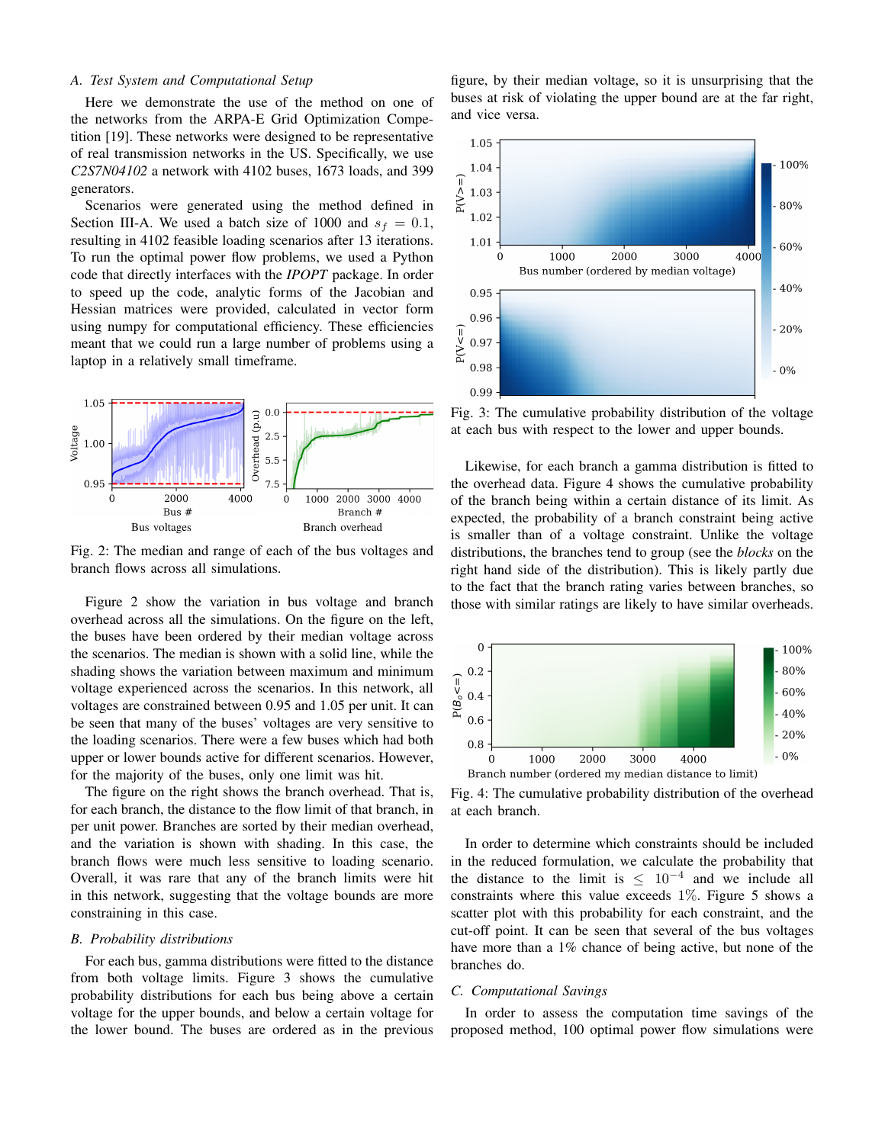# *A. Test System and Computational Setup*

Here we demonstrate the use of the method on one of the networks from the ARPA-E Grid Optimization Competition [19]. These networks were designed to be representative of real transmission networks in the US. Specifically, we use *C2S7N04102* a network with 4102 buses, 1673 loads, and 399 generators.

Scenarios were generated using the method defined in Section III-A. We used a batch size of 1000 and  $s_f = 0.1$ , resulting in 4102 feasible loading scenarios after 13 iterations. To run the optimal power flow problems, we used a Python code that directly interfaces with the *IPOPT* package. In order to speed up the code, analytic forms of the Jacobian and Hessian matrices were provided, calculated in vector form using numpy for computational efficiency. These efficiencies meant that we could run a large number of problems using a laptop in a relatively small timeframe.



Fig. 2: The median and range of each of the bus voltages and branch flows across all simulations.

Figure 2 show the variation in bus voltage and branch overhead across all the simulations. On the figure on the left, the buses have been ordered by their median voltage across the scenarios. The median is shown with a solid line, while the shading shows the variation between maximum and minimum voltage experienced across the scenarios. In this network, all voltages are constrained between 0.95 and 1.05 per unit. It can be seen that many of the buses' voltages are very sensitive to the loading scenarios. There were a few buses which had both upper or lower bounds active for different scenarios. However, for the majority of the buses, only one limit was hit.

The figure on the right shows the branch overhead. That is, for each branch, the distance to the flow limit of that branch, in per unit power. Branches are sorted by their median overhead, and the variation is shown with shading. In this case, the branch flows were much less sensitive to loading scenario. Overall, it was rare that any of the branch limits were hit in this network, suggesting that the voltage bounds are more constraining in this case.

# *B. Probability distributions*

For each bus, gamma distributions were fitted to the distance from both voltage limits. Figure 3 shows the cumulative probability distributions for each bus being above a certain voltage for the upper bounds, and below a certain voltage for the lower bound. The buses are ordered as in the previous

figure, by their median voltage, so it is unsurprising that the buses at risk of violating the upper bound are at the far right, and vice versa.



Fig. 3: The cumulative probability distribution of the voltage at each bus with respect to the lower and upper bounds.

Likewise, for each branch a gamma distribution is fitted to the overhead data. Figure 4 shows the cumulative probability of the branch being within a certain distance of its limit. As expected, the probability of a branch constraint being active is smaller than of a voltage constraint. Unlike the voltage distributions, the branches tend to group (see the *blocks* on the right hand side of the distribution). This is likely partly due to the fact that the branch rating varies between branches, so those with similar ratings are likely to have similar overheads.



Fig. 4: The cumulative probability distribution of the overhead at each branch.

In order to determine which constraints should be included in the reduced formulation, we calculate the probability that the distance to the limit is  $\leq 10^{-4}$  and we include all constraints where this value exceeds 1%. Figure 5 shows a scatter plot with this probability for each constraint, and the cut-off point. It can be seen that several of the bus voltages have more than a 1% chance of being active, but none of the branches do.

# *C. Computational Savings*

In order to assess the computation time savings of the proposed method, 100 optimal power flow simulations were